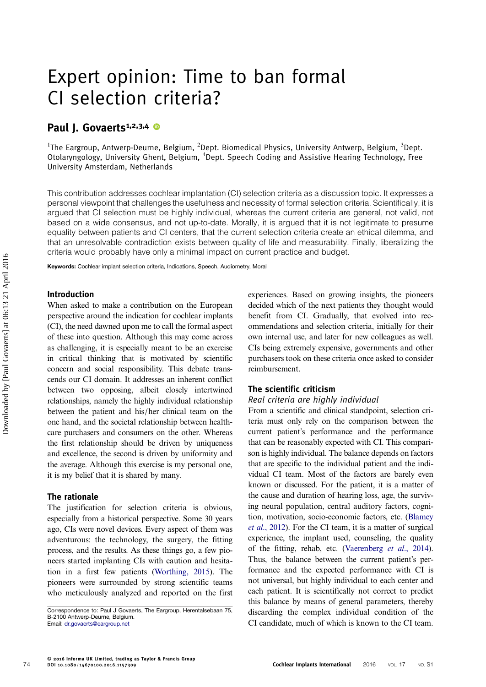# <span id="page-0-0"></span>Expert opinion: Time to ban formal CI selection criteria?

# Paul I. Govaerts<sup>1,2,3,4</sup>

 $^{\rm 1}$ The Eargroup, Antwerp-Deurne, Belgium,  $^{\rm 2}$ Dept. Biomedical Physics, University Antwerp, Belgium,  $^{\rm 3}$ Dept. Otolaryngology, University Ghent, Belgium, <sup>4</sup>Dept. Speech Coding and Assistive Hearing Technology, Free University Amsterdam, Netherlands

This contribution addresses cochlear implantation (CI) selection criteria as a discussion topic. It expresses a personal viewpoint that challenges the usefulness and necessity of formal selection criteria. Scientifically, it is argued that CI selection must be highly individual, whereas the current criteria are general, not valid, not based on a wide consensus, and not up-to-date. Morally, it is argued that it is not legitimate to presume equality between patients and CI centers, that the current selection criteria create an ethical dilemma, and that an unresolvable contradiction exists between quality of life and measurability. Finally, liberalizing the criteria would probably have only a minimal impact on current practice and budget.

Keywords: Cochlear implant selection criteria, Indications, Speech, Audiometry, Moral

#### Introduction

When asked to make a contribution on the European perspective around the indication for cochlear implants (CI), the need dawned upon me to call the formal aspect of these into question. Although this may come across as challenging, it is especially meant to be an exercise in critical thinking that is motivated by scientific concern and social responsibility. This debate transcends our CI domain. It addresses an inherent conflict between two opposing, albeit closely intertwined relationships, namely the highly individual relationship between the patient and his/her clinical team on the one hand, and the societal relationship between healthcare purchasers and consumers on the other. Whereas the first relationship should be driven by uniqueness and excellence, the second is driven by uniformity and the average. Although this exercise is my personal one, it is my belief that it is shared by many.

#### The rationale

The justification for selection criteria is obvious, especially from a historical perspective. Some 30 years ago, CIs were novel devices. Every aspect of them was adventurous: the technology, the surgery, the fitting process, and the results. As these things go, a few pioneers started implanting CIs with caution and hesitation in a first few patients ([Worthing, 2015](#page-3-0)). The pioneers were surrounded by strong scientific teams who meticulously analyzed and reported on the first experiences. Based on growing insights, the pioneers decided which of the next patients they thought would benefit from CI. Gradually, that evolved into recommendations and selection criteria, initially for their own internal use, and later for new colleagues as well. CIs being extremely expensive, governments and other purchasers took on these criteria once asked to consider reimbursement.

## The scientific criticism

#### Real criteria are highly individual

From a scientific and clinical standpoint, selection criteria must only rely on the comparison between the current patient's performance and the performance that can be reasonably expected with CI. This comparison is highly individual. The balance depends on factors that are specific to the individual patient and the individual CI team. Most of the factors are barely even known or discussed. For the patient, it is a matter of the cause and duration of hearing loss, age, the surviving neural population, central auditory factors, cognition, motivation, socio-economic factors, etc. [\(Blamey](#page-3-0) et al[., 2012](#page-3-0)). For the CI team, it is a matter of surgical experience, the implant used, counseling, the quality of the fitting, rehab, etc. [\(Vaerenberg](#page-3-0) et al., 2014). Thus, the balance between the current patient's performance and the expected performance with CI is not universal, but highly individual to each center and each patient. It is scientifically not correct to predict this balance by means of general parameters, thereby discarding the complex individual condition of the CI candidate, much of which is known to the CI team.

Correspondence to: Paul J Govaerts, The Eargroup, Herentalsebaan 75, B-2100 Antwerp-Deurne, Belgium. Email: [dr.govaerts@eargroup.net](mailto:dr.govaerts@eargroup.net)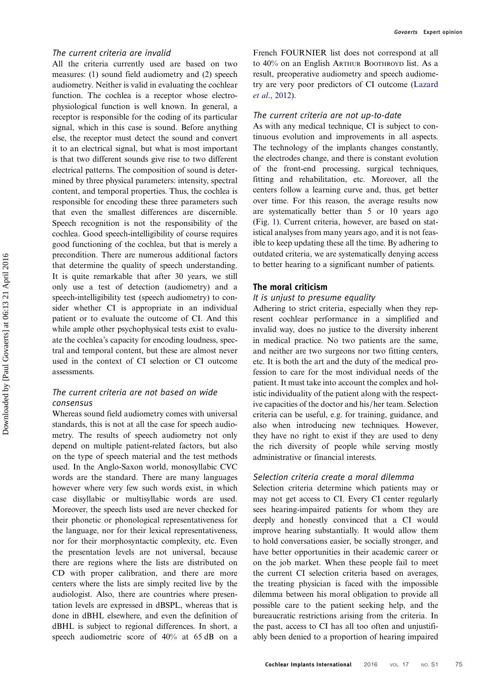#### <span id="page-1-0"></span>The current criteria are invalid

All the criteria currently used are based on two measures: (1) sound field audiometry and (2) speech audiometry. Neither is valid in evaluating the cochlear function. The cochlea is a receptor whose electrophysiological function is well known. In general, a receptor is responsible for the coding of its particular signal, which in this case is sound. Before anything else, the receptor must detect the sound and convert it to an electrical signal, but what is most important is that two different sounds give rise to two different electrical patterns. The composition of sound is determined by three physical parameters: intensity, spectral content, and temporal properties. Thus, the cochlea is responsible for encoding these three parameters such that even the smallest differences are discernible. Speech recognition is not the responsibility of the cochlea. Good speech-intelligibility of course requires good functioning of the cochlea, but that is merely a precondition. There are numerous additional factors that determine the quality of speech understanding. It is quite remarkable that after 30 years, we still only use a test of detection (audiometry) and a speech-intelligibility test (speech audiometry) to consider whether CI is appropriate in an individual patient or to evaluate the outcome of CI. And this while ample other psychophysical tests exist to evaluate the cochlea's capacity for encoding loudness, spectral and temporal content, but these are almost never used in the context of CI selection or CI outcome assessments.

# The current criteria are not based on wide consensus

Whereas sound field audiometry comes with universal standards, this is not at all the case for speech audiometry. The results of speech audiometry not only depend on multiple patient-related factors, but also on the type of speech material and the test methods used. In the Anglo-Saxon world, monosyllabic CVC words are the standard. There are many languages however where very few such words exist, in which case disyllabic or multisyllabic words are used. Moreover, the speech lists used are never checked for their phonetic or phonological representativeness for the language, nor for their lexical representativeness, nor for their morphosyntactic complexity, etc. Even the presentation levels are not universal, because there are regions where the lists are distributed on CD with proper calibration, and there are more centers where the lists are simply recited live by the audiologist. Also, there are countries where presentation levels are expressed in dBSPL, whereas that is done in dBHL elsewhere, and even the definition of dBHL is subject to regional differences. In short, a speech audiometric score of 40% at 65 dB on a

French FOURNIER list does not correspond at all to 40% on an English ARTHUR BOOTHROYD list. As a result, preoperative audiometry and speech audiometry are very poor predictors of CI outcome [\(Lazard](#page-3-0) et al[., 2012](#page-3-0)).

#### The current criteria are not up-to-date

As with any medical technique, CI is subject to continuous evolution and improvements in all aspects. The technology of the implants changes constantly, the electrodes change, and there is constant evolution of the front-end processing, surgical techniques, fitting and rehabilitation, etc. Moreover, all the centers follow a learning curve and, thus, get better over time. For this reason, the average results now are systematically better than 5 or 10 years ago (Fig. [1](#page-2-0)). Current criteria, however, are based on statistical analyses from many years ago, and it is not feasible to keep updating these all the time. By adhering to outdated criteria, we are systematically denying access to better hearing to a significant number of patients.

## The moral criticism

# It is unjust to presume equality

Adhering to strict criteria, especially when they represent cochlear performance in a simplified and invalid way, does no justice to the diversity inherent in medical practice. No two patients are the same, and neither are two surgeons nor two fitting centers, etc. It is both the art and the duty of the medical profession to care for the most individual needs of the patient. It must take into account the complex and holistic individuality of the patient along with the respective capacities of the doctor and his/her team. Selection criteria can be useful, e.g. for training, guidance, and also when introducing new techniques. However, they have no right to exist if they are used to deny the rich diversity of people while serving mostly administrative or financial interests.

#### Selection criteria create a moral dilemma

Selection criteria determine which patients may or may not get access to CI. Every CI center regularly sees hearing-impaired patients for whom they are deeply and honestly convinced that a CI would improve hearing substantially. It would allow them to hold conversations easier, be socially stronger, and have better opportunities in their academic career or on the job market. When these people fail to meet the current CI selection criteria based on averages, the treating physician is faced with the impossible dilemma between his moral obligation to provide all possible care to the patient seeking help, and the bureaucratic restrictions arising from the criteria. In the past, access to CI has all too often and unjustifiably been denied to a proportion of hearing impaired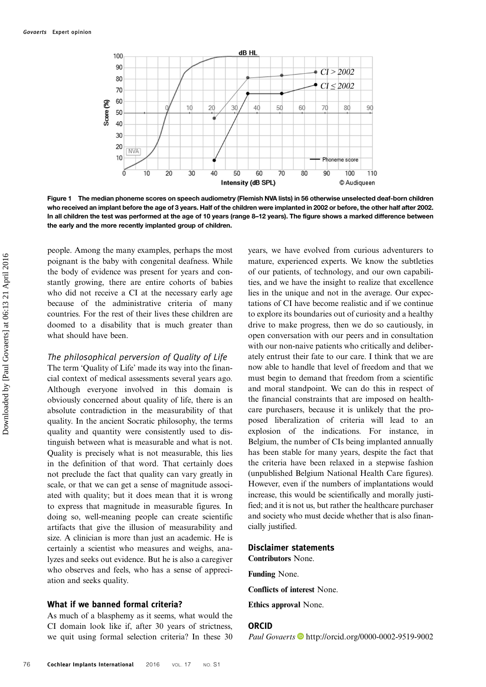<span id="page-2-0"></span>

Figure 1 The median phoneme scores on speech audiometry (Flemish NVA lists) in 56 otherwise unselected deaf-born children who received an implant before the age of 3 years. Half of the children were implanted in 2002 or before, the other half after 2002. In all children the test was performed at the age of 10 years (range 8–12 years). The figure shows a marked difference between the early and the more recently implanted group of children.

people. Among the many examples, perhaps the most poignant is the baby with congenital deafness. While the body of evidence was present for years and constantly growing, there are entire cohorts of babies who did not receive a CI at the necessary early age because of the administrative criteria of many countries. For the rest of their lives these children are doomed to a disability that is much greater than what should have been.

#### The philosophical perversion of Quality of Life

The term 'Quality of Life' made its way into the financial context of medical assessments several years ago. Although everyone involved in this domain is obviously concerned about quality of life, there is an absolute contradiction in the measurability of that quality. In the ancient Socratic philosophy, the terms quality and quantity were consistently used to distinguish between what is measurable and what is not. Quality is precisely what is not measurable, this lies in the definition of that word. That certainly does not preclude the fact that quality can vary greatly in scale, or that we can get a sense of magnitude associated with quality; but it does mean that it is wrong to express that magnitude in measurable figures. In doing so, well-meaning people can create scientific artifacts that give the illusion of measurability and size. A clinician is more than just an academic. He is certainly a scientist who measures and weighs, analyzes and seeks out evidence. But he is also a caregiver who observes and feels, who has a sense of appreciation and seeks quality.

## What if we banned formal criteria?

As much of a blasphemy as it seems, what would the CI domain look like if, after 30 years of strictness, we quit using formal selection criteria? In these 30 years, we have evolved from curious adventurers to mature, experienced experts. We know the subtleties of our patients, of technology, and our own capabilities, and we have the insight to realize that excellence lies in the unique and not in the average. Our expectations of CI have become realistic and if we continue to explore its boundaries out of curiosity and a healthy drive to make progress, then we do so cautiously, in open conversation with our peers and in consultation with our non-naive patients who critically and deliberately entrust their fate to our care. I think that we are now able to handle that level of freedom and that we must begin to demand that freedom from a scientific and moral standpoint. We can do this in respect of the financial constraints that are imposed on healthcare purchasers, because it is unlikely that the proposed liberalization of criteria will lead to an explosion of the indications. For instance, in Belgium, the number of CIs being implanted annually has been stable for many years, despite the fact that the criteria have been relaxed in a stepwise fashion (unpublished Belgium National Health Care figures). However, even if the numbers of implantations would increase, this would be scientifically and morally justified; and it is not us, but rather the healthcare purchaser and society who must decide whether that is also financially justified.

#### Disclaimer statements

Contributors None.

Funding None.

Conflicts of interest None.

Ethics approval None.

#### ORCID

Paul Govaerts **<http://orcid.org/0000-0002-9519-9002>**